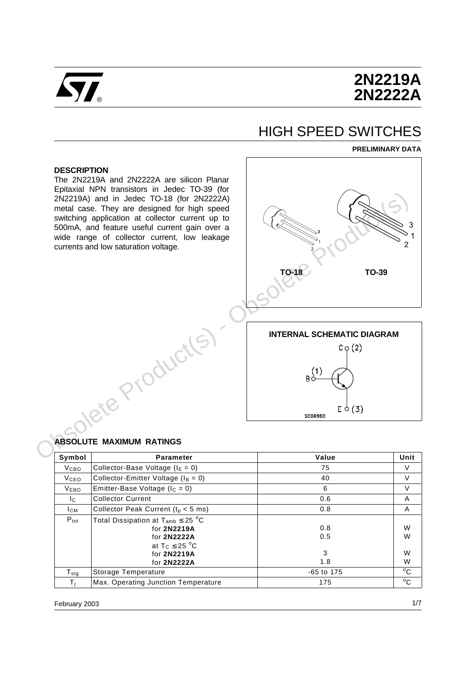

# **2N2219A 2N2222A**

# HIGH SPEED SWITCHES

#### **PRELIMINARY DATA**

#### **DESCRIPTION**

The 2N2219A and 2N2222A are silicon Planar Epitaxial NPN transistors in Jedec TO-39 (for 2N2219A) and in Jedec TO-18 (for 2N2222A) metal case. They are designed for high speed switching application at collector current up to 500mA, and feature useful current gain over a wide range of collector current, low leakage currents and low saturation voltage.



#### **ABSOLUTE MAXIMUM RATINGS**

| Symbol           | <b>Parameter</b>                                                                                                                    | Value                  | Unit             |
|------------------|-------------------------------------------------------------------------------------------------------------------------------------|------------------------|------------------|
| <b>V</b> сво     | Collector-Base Voltage ( $IE = 0$ )                                                                                                 | 75                     | V                |
| <b>V</b> ceo     | Collector-Emitter Voltage ( $I_B = 0$ )                                                                                             | 40                     | V                |
| <b>VEBO</b>      | Emitter-Base Voltage ( $I_c = 0$ )                                                                                                  | 6                      | $\vee$           |
| Ic.              | <b>Collector Current</b>                                                                                                            | 0.6                    | A                |
| Iсм              | Collector Peak Current ( $t_p < 5$ ms)                                                                                              | 0.8                    | A                |
| $P_{\text{tot}}$ | Total Dissipation at $T_{amb} \leq 25 \degree C$<br>for 2N2219A<br>for 2N2222A<br>at $T_C \leq 25$ °C<br>for 2N2219A<br>for 2N2222A | 0.8<br>0.5<br>3<br>1.8 | W<br>W<br>W<br>W |
| $T_{\rm stg}$    | Storage Temperature                                                                                                                 | $-65$ to 175           | $^{\circ}$ C     |
| T.               | Max. Operating Junction Temperature                                                                                                 | 175                    | $^{\circ}$ C     |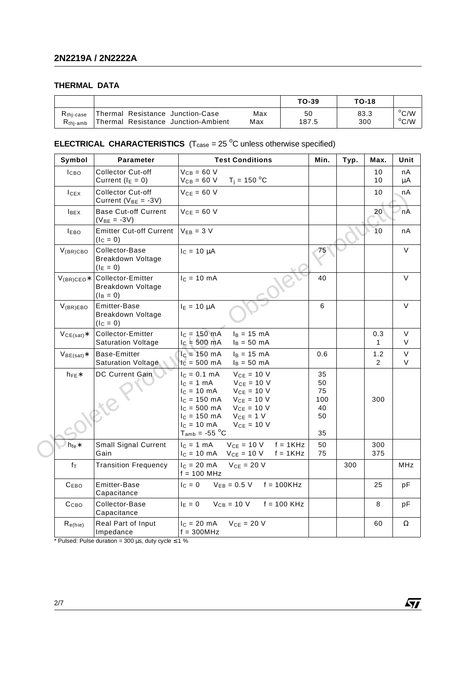### **THERMAL DATA**

|                      |                                     |     | TO-39 | <b>TO-18</b> |                |
|----------------------|-------------------------------------|-----|-------|--------------|----------------|
| $Rthi-case$          | Thermal Resistance Junction-Case    | Max | 50    | 83.3         | $\rm ^{o}C/W$  |
| R <sub>thi-amb</sub> | Thermal Resistance Junction-Ambient | Max | 187.5 | 300          | $^{\circ}$ C/W |

### **ELECTRICAL CHARACTERISTICS**  $(T_{\text{case}} = 25 \text{ °C}$  unless otherwise specified)

| Symbol           | Parameter                                                 | <b>Test Conditions</b>                                                                                                                                                                                                                                                                           | Min.                                    | Typ. | Max.                  | Unit                  |
|------------------|-----------------------------------------------------------|--------------------------------------------------------------------------------------------------------------------------------------------------------------------------------------------------------------------------------------------------------------------------------------------------|-----------------------------------------|------|-----------------------|-----------------------|
| I <sub>CBO</sub> | <b>Collector Cut-off</b><br>Current $(I_E = 0)$           | $V_{CB} = 60 V$<br>$T_i = 150 °C$<br>$V_{CB} = 60 V$                                                                                                                                                                                                                                             |                                         |      | 10<br>10              | nA<br>μA              |
| I <sub>CEX</sub> | <b>Collector Cut-off</b><br>Current ( $V_{BE} = -3V$ )    | $V_{CE} = 60 V$                                                                                                                                                                                                                                                                                  |                                         |      | 10                    | nA                    |
| <b>IBEX</b>      | <b>Base Cut-off Current</b><br>$(V_{BE} = -3V)$           | $VCE = 60 V$                                                                                                                                                                                                                                                                                     |                                         |      | 20                    | 'nĀ                   |
| <b>IEBO</b>      | <b>Emitter Cut-off Current</b><br>$(lC = 0)$              | $V_{EB} = 3 V$                                                                                                                                                                                                                                                                                   |                                         |      | 10                    | nA                    |
| $V_{(BR)CBO}$    | Collector-Base<br><b>Breakdown Voltage</b><br>$(I_E = 0)$ | $I_c = 10 \mu A$                                                                                                                                                                                                                                                                                 | 75                                      |      |                       | V                     |
| $V_{(BR)CEO*}$   | Collector-Emitter<br>Breakdown Voltage<br>$(I_B = 0)$     | $IC = 10 mA$                                                                                                                                                                                                                                                                                     | 40                                      |      |                       | $\vee$                |
| $V_{(BR)EBO}$    | Emitter-Base<br><b>Breakdown Voltage</b><br>$(lC = 0)$    | $I_E = 10 \mu A$                                                                                                                                                                                                                                                                                 | 6                                       |      |                       | $\vee$                |
| $VCE(sat)$ *     | Collector-Emitter<br><b>Saturation Voltage</b>            | $I_B = 15$ mA<br>$I_c = 150$ mA<br>$I_c = 500 \text{ mA}$<br>$I_B = 50$ mA                                                                                                                                                                                                                       |                                         |      | 0.3<br>$\mathbf{1}$   | V<br>V                |
| $VBE(sat)*$      | <b>Base-Emitter</b><br>Saturation Voltage                 | $lc = 150$ mA<br>$I_B = 15$ mA<br>$IC = 500 mA$<br>$I_B = 50$ mA                                                                                                                                                                                                                                 | 0.6                                     |      | 1.2<br>$\overline{2}$ | $\mathsf V$<br>$\vee$ |
| $h_{FE}$         | DC Current Gain                                           | $V_{CE} = 10 V$<br>$I_c = 0.1$ mA<br>$I_C = 1$ mA<br>$V_{CE}$ = 10 V<br>$I_{C} = 10 \text{ mA}$<br>$V_{CE} = 10 V$<br>$V_{CE} = 10 V$<br>$I_c = 150$ mA<br>$I_c = 500$ mA<br>$V_{CE} = 10 V$<br>$I_C = 150$ mA<br>$V_{CE} = 1 V$<br>$IC = 10 mA$<br>$VCE = 10 V$<br>$T_{amb}$ = -55 $^{\circ}$ C | 35<br>50<br>75<br>100<br>40<br>50<br>35 |      | 300                   |                       |
| $h_{fe}$ *       | <b>Small Signal Current</b><br>Gain                       | $V_{CE} = 10 V$<br>$f = 1KHz$<br>$IC = 1 mA$<br>$V_{CE} = 10 V$<br>$IC = 10 mA$<br>$f = 1KHz$                                                                                                                                                                                                    | 50<br>75                                |      | 300<br>375            |                       |
| $f_{\mathsf{T}}$ | <b>Transition Frequency</b>                               | $V_{CE}$ = 20 V<br>$c = 20$ mA<br>$f = 100$ MHz                                                                                                                                                                                                                                                  |                                         | 300  |                       | <b>MHz</b>            |
| $C_{EBO}$        | Emitter-Base<br>Capacitance                               | $V_{EB} = 0.5 V$<br>$f = 100K$ Hz<br>$I_C = 0$                                                                                                                                                                                                                                                   |                                         |      | 25                    | рF                    |
| Ссво             | Collector-Base<br>Capacitance                             | $V_{CB} = 10 V$<br>$f = 100$ KHz<br>$I_E = 0$                                                                                                                                                                                                                                                    |                                         |      | 8                     | рF                    |
| $R_{e(hie)}$     | Real Part of Input<br>Impedance                           | $IC = 20 mA$<br>$V_{CE}$ = 20 V<br>$f = 300 MHz$                                                                                                                                                                                                                                                 |                                         |      | 60                    | Ω                     |

 $\sqrt{M}$ 

\* Pulsed: Pulse duration = 300  $\mu$ s, duty cycle  $\leq$  1 %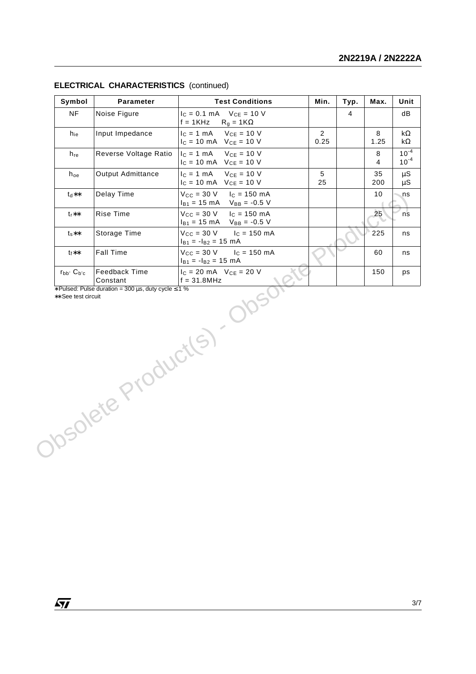| Symbol            | Parameter                 | <b>Test Conditions</b>                                                             | Min.                   | Typ.           | Max.                | Unit                     |
|-------------------|---------------------------|------------------------------------------------------------------------------------|------------------------|----------------|---------------------|--------------------------|
| <b>NF</b>         | Noise Figure              | $V_{CE} = 10 V$<br>$I_C = 0.1$ mA<br>$f = 1KHz$<br>$R_g = 1K\Omega$                |                        | $\overline{4}$ |                     | dB                       |
| $h_{ie}$          | Input Impedance           | $V_{CE} = 10 V$<br>$IC = 1 mA$<br>$I_C = 10 \text{ mA}$ $V_{CE} = 10 \text{ V}$    | $\overline{2}$<br>0.25 |                | 8<br>1.25           | k $\Omega$<br>k $\Omega$ |
| $h_{re}$          | Reverse Voltage Ratio     | $V_{CE}$ = 10 V<br>$I_C = 1$ mA<br>$I_C = 10 \text{ mA}$ $V_{CE} = 10 \text{ V}$   |                        |                | 8<br>$\overline{4}$ | $10^{-4}$<br>$10^{-4}$   |
| $h_{oe}$          | Output Admittance         | $V_{CE}$ = 10 V<br>$I_C = 1$ mA<br>$I_C = 10 \text{ mA}$ $V_{CE} = 10 \text{ V}$   | 5<br>25                |                | 35<br>200           | μS<br>$\mu$ S            |
| $**hJ$            | Delay Time                | $V_{CC}$ = 30 V<br>$I_C = 150$ mA<br>$I_{B1} = 15 \text{ mA}$<br>$V_{BB} = -0.5 V$ |                        |                | 10                  | ns                       |
| $t_r$ **          | Rise Time                 | $V_{CC}$ = 30 V<br>$I_c = 150$ mA<br>$I_{B1} = 15$ mA<br>$V_{BB} = -0.5 V$         |                        |                | 25                  | ns                       |
| $t_s**$           | Storage Time              | $V_{CC}$ = 30 V<br>$I_C = 150 \, mA$<br>$I_{B1} = -I_{B2} = 15$ mA                 |                        |                | 225                 | ns                       |
| $t_f**$           | <b>Fall Time</b>          | $V_{CC}$ = 30 V<br>$I_c = 150$ mA<br>$I_{B1} = -I_{B2} = 15$ mA                    |                        |                | 60                  | ns                       |
| $r_{bb'} C_{b'c}$ | Feedback Time<br>Constant | $I_C = 20$ mA $V_{CE} = 20$ V<br>$f = 31.8 MHz$                                    |                        |                | 150                 | ps                       |
|                   | Obsolete Product(S)       | 3005                                                                               |                        |                |                     |                          |
|                   |                           |                                                                                    |                        |                |                     |                          |
|                   |                           |                                                                                    |                        |                |                     |                          |
|                   |                           |                                                                                    |                        |                |                     |                          |
|                   |                           |                                                                                    |                        |                |                     |                          |

#### **ELECTRICAL CHARACTERISTICS** (continued)

 $\sqrt{27}$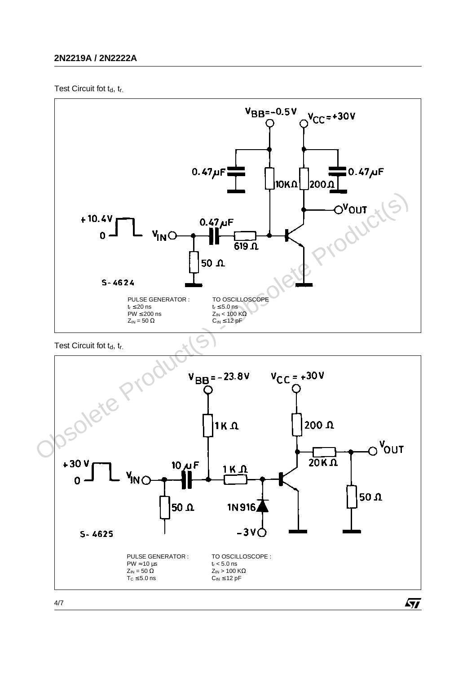## **2N2219A / 2N2222A**

Test Circuit fot td, tr.



Test Circuit fot td, tr.



4/7

 $\sqrt{1}$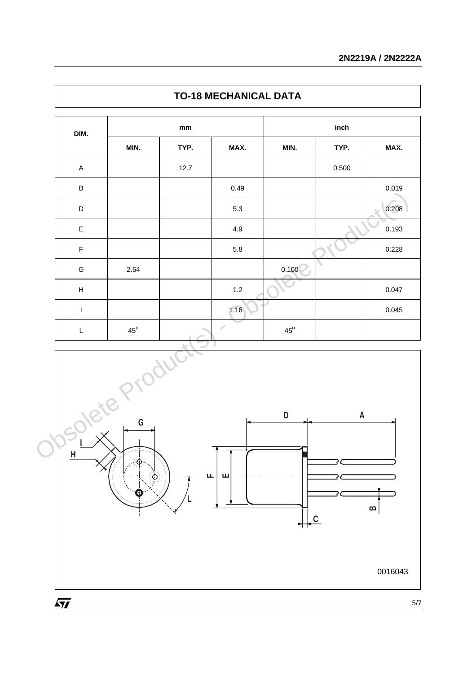| DIM.                      | $\mathop{\mathsf{mm}}\nolimits$ |      |               | inch         |                    |       |  |
|---------------------------|---------------------------------|------|---------------|--------------|--------------------|-------|--|
|                           | MIN.                            | TYP. | MAX.          | MIN.         | TYP.               | MAX.  |  |
| $\mathsf A$               |                                 | 12.7 |               |              | 0.500              |       |  |
| $\sf B$                   |                                 |      | 0.49          |              |                    | 0.019 |  |
| D                         |                                 |      | 5.3           |              |                    | 0.208 |  |
| $\mathsf E$               |                                 |      | 4.9           |              |                    | 0.193 |  |
| F                         |                                 |      | $5.8\,$       |              |                    | 0.228 |  |
| ${\mathsf G}$             | 2.54                            |      |               | 0.100        |                    |       |  |
| $\boldsymbol{\mathsf{H}}$ |                                 |      | $1.2\,$       |              |                    | 0.047 |  |
| $\mathsf I$               |                                 |      | 1.16          |              |                    | 0.045 |  |
| L                         | $45^{\circ}$                    |      | $\mathcal{L}$ | $45^{\circ}$ |                    |       |  |
| H                         | RIV 6<br>$\Theta$               | Jour |               | D            | $\pmb{\mathsf{A}}$ |       |  |

## **TO-18 MECHANICAL DATA**



 $\sqrt{1}$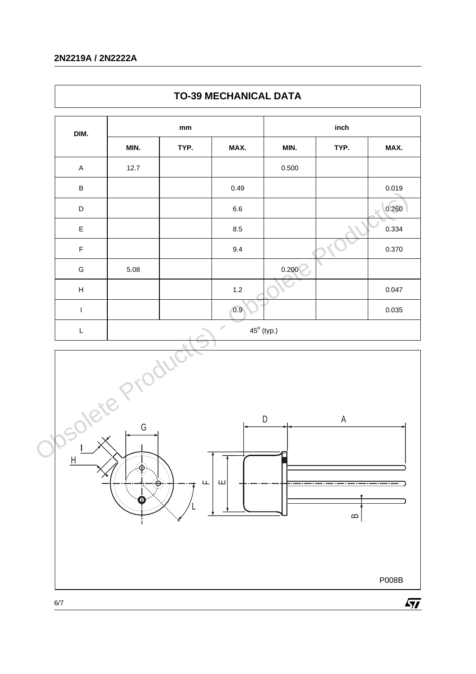## **2N2219A / 2N2222A**

| DIM.                      | mm   |      |                     | inch  |      |       |  |
|---------------------------|------|------|---------------------|-------|------|-------|--|
|                           | MIN. | TYP. | MAX.                | MIN.  | TYP. | MAX.  |  |
| $\mathsf A$               | 12.7 |      |                     | 0.500 |      |       |  |
| $\sf B$                   |      |      | 0.49                |       |      | 0.019 |  |
| D                         |      |      | $6.6\,$             |       |      | 0.260 |  |
| $\mathsf E$               |      |      | 8.5                 |       |      | 0.334 |  |
| $\mathsf F$               |      |      | 9.4                 |       |      | 0.370 |  |
| G                         | 5.08 |      |                     | 0.200 |      |       |  |
| $\boldsymbol{\mathsf{H}}$ |      |      | $1.2\,$             |       |      | 0.047 |  |
| $\mathsf I$               |      |      | 0.9                 |       |      | 0.035 |  |
| L                         |      |      | $45^{\circ}$ (typ.) |       |      |       |  |





 $\sqrt{M}$